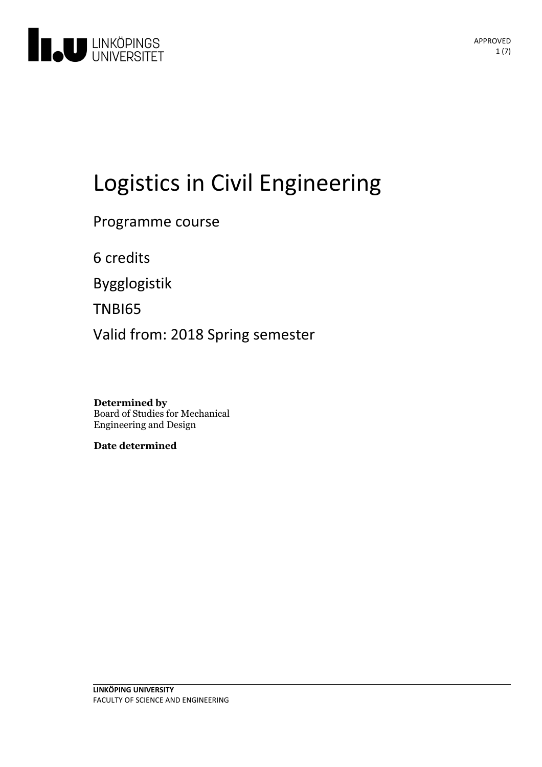

# Logistics in Civil Engineering

Programme course

6 credits

Bygglogistik

TNBI65

Valid from: 2018 Spring semester

**Determined by** Board of Studies for Mechanical Engineering and Design

**Date determined**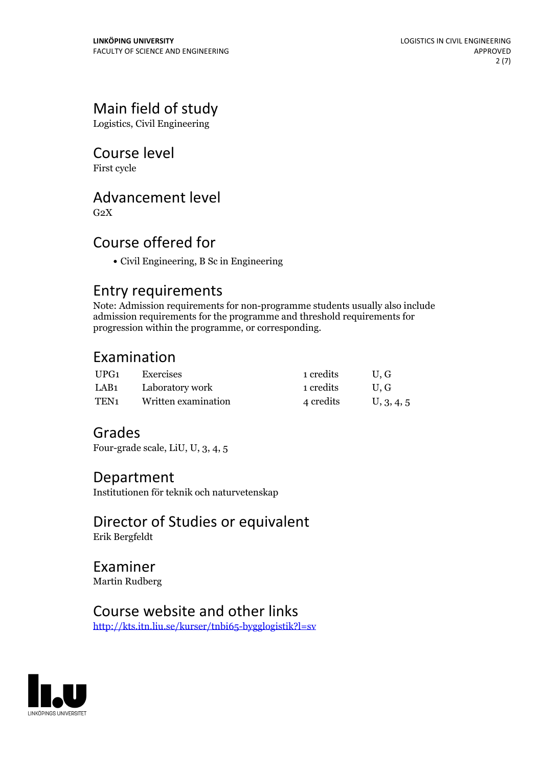# Main field of study

Logistics, Civil Engineering

## Course level

First cycle

## Advancement level

 $G<sub>2</sub>X$ 

# Course offered for

Civil Engineering, B Sc in Engineering

### Entry requirements

Note: Admission requirements for non-programme students usually also include admission requirements for the programme and threshold requirements for progression within the programme, or corresponding.

# Examination

| UPG1 | Exercises            | 1 credits | U.G        |
|------|----------------------|-----------|------------|
|      | LAB1 Laboratory work | 1 credits | U.G        |
| TEN1 | Written examination  | 4 credits | U, 3, 4, 5 |

# Grades

Four-grade scale, LiU, U, 3, 4, 5

### Department

Institutionen för teknik och naturvetenskap

Director of Studies or equivalent Erik Bergfeldt

Examiner Martin Rudberg

# Course website and other links

<http://kts.itn.liu.se/kurser/tnbi65-bygglogistik?l=sv>

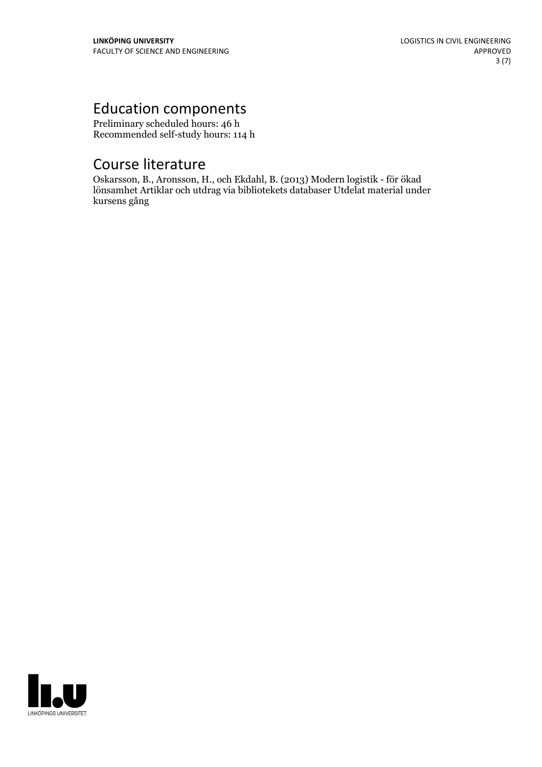# Education components

Preliminary scheduled hours: 46 h Recommended self-study hours: 114 h

# Course literature

Oskarsson, B., Aronsson, H., och Ekdahl, B. (2013) Modern logistik - för ökad lönsamhet Artiklar och utdrag via bibliotekets databaser Utdelat material under kursens gång

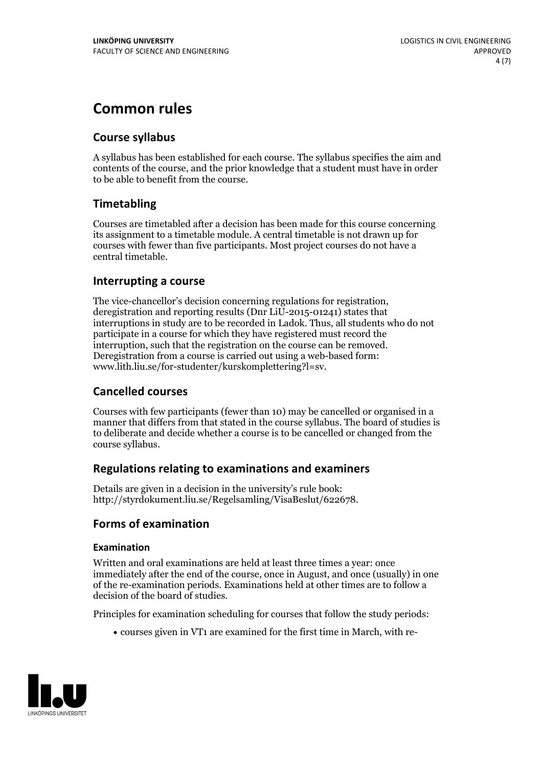# **Common rules**

### **Course syllabus**

A syllabus has been established for each course. The syllabus specifies the aim and contents of the course, and the prior knowledge that a student must have in order to be able to benefit from the course.

### **Timetabling**

Courses are timetabled after a decision has been made for this course concerning its assignment to a timetable module. A central timetable is not drawn up for courses with fewer than five participants. Most project courses do not have a central timetable.

### **Interrupting a course**

The vice-chancellor's decision concerning regulations for registration, deregistration and reporting results (Dnr LiU-2015-01241) states that interruptions in study are to be recorded in Ladok. Thus, all students who do not participate in a course for which they have registered must record the interruption, such that the registration on the course can be removed. Deregistration from <sup>a</sup> course is carried outusing <sup>a</sup> web-based form: www.lith.liu.se/for-studenter/kurskomplettering?l=sv.

### **Cancelled courses**

Courses with few participants (fewer than 10) may be cancelled or organised in a manner that differs from that stated in the course syllabus. The board of studies is to deliberate and decide whether a course is to be cancelled orchanged from the course syllabus.

### **Regulations relatingto examinations and examiners**

Details are given in a decision in the university's rule book: http://styrdokument.liu.se/Regelsamling/VisaBeslut/622678.

### **Forms of examination**

### **Examination**

Written and oral examinations are held at least three times a year: once immediately after the end of the course, once in August, and once (usually) in one of the re-examination periods. Examinations held at other times are to follow a decision of the board of studies.

Principles for examination scheduling for courses that follow the study periods:

courses given in VT1 are examined for the first time in March, with re-

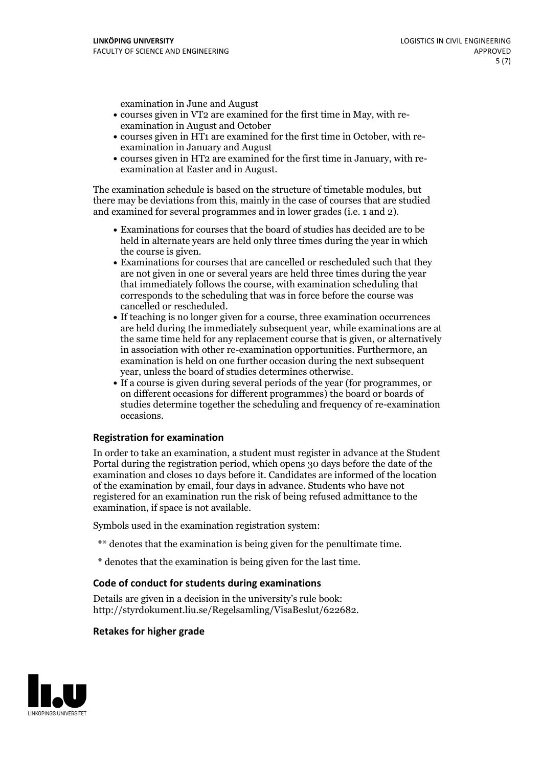examination in June and August

- courses given in VT2 are examined for the first time in May, with re-examination in August and October
- courses given in HT1 are examined for the first time in October, with re-examination in January and August
- courses given in HT2 are examined for the first time in January, with re-examination at Easter and in August.

The examination schedule is based on the structure of timetable modules, but there may be deviations from this, mainly in the case of courses that are studied and examined for several programmes and in lower grades (i.e. 1 and 2).

- Examinations for courses that the board of studies has decided are to be held in alternate years are held only three times during the year in which
- the course is given.<br>• Examinations for courses that are cancelled or rescheduled such that they are not given in one or several years are held three times during the year that immediately follows the course, with examination scheduling that corresponds to the scheduling that was in force before the course was cancelled or rescheduled.<br>• If teaching is no longer given for a course, three examination occurrences
- are held during the immediately subsequent year, while examinations are at the same time held for any replacement course that is given, or alternatively in association with other re-examination opportunities. Furthermore, an examination is held on one further occasion during the next subsequent year, unless the board of studies determines otherwise.<br>• If a course is given during several periods of the year (for programmes, or
- on different occasions for different programmes) the board orboards of studies determine together the scheduling and frequency of re-examination occasions.

#### **Registration for examination**

In order to take an examination, a student must register in advance at the Student Portal during the registration period, which opens 30 days before the date of the examination and closes 10 days before it. Candidates are informed of the location of the examination by email, four days in advance. Students who have not registered for an examination run the risk of being refused admittance to the examination, if space is not available.

Symbols used in the examination registration system:

- \*\* denotes that the examination is being given for the penultimate time.
- \* denotes that the examination is being given for the last time.

#### **Code of conduct for students during examinations**

Details are given in a decision in the university's rule book: http://styrdokument.liu.se/Regelsamling/VisaBeslut/622682.

#### **Retakes for higher grade**

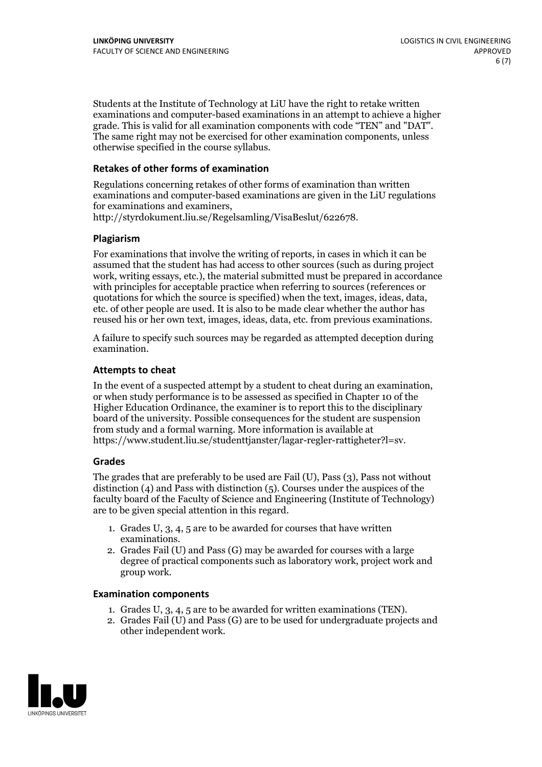Students at the Institute of Technology at LiU have the right to retake written examinations and computer-based examinations in an attempt to achieve a higher grade. This is valid for all examination components with code "TEN" and "DAT". The same right may not be exercised for other examination components, unless otherwise specified in the course syllabus.

#### **Retakes of other forms of examination**

Regulations concerning retakes of other forms of examination than written examinations and computer-based examinations are given in the LiU regulations for examinations and examiners, http://styrdokument.liu.se/Regelsamling/VisaBeslut/622678.

#### **Plagiarism**

For examinations that involve the writing of reports, in cases in which it can be assumed that the student has had access to other sources (such as during project work, writing essays, etc.), the material submitted must be prepared in accordance with principles for acceptable practice when referring to sources (references or quotations for which the source is specified) when the text, images, ideas, data, etc. of other people are used. It is also to be made clear whether the author has reused his or her own text, images, ideas, data, etc. from previous examinations.

A failure to specify such sources may be regarded as attempted deception during examination.

#### **Attempts to cheat**

In the event of <sup>a</sup> suspected attempt by <sup>a</sup> student to cheat during an examination, or when study performance is to be assessed as specified in Chapter <sup>10</sup> of the Higher Education Ordinance, the examiner is to report this to the disciplinary board of the university. Possible consequences for the student are suspension from study and a formal warning. More information is available at https://www.student.liu.se/studenttjanster/lagar-regler-rattigheter?l=sv.

#### **Grades**

The grades that are preferably to be used are Fail (U), Pass (3), Pass not without distinction  $(4)$  and Pass with distinction  $(5)$ . Courses under the auspices of the faculty board of the Faculty of Science and Engineering (Institute of Technology) are to be given special attention in this regard.

- 1. Grades U, 3, 4, 5 are to be awarded for courses that have written
- examinations. 2. Grades Fail (U) and Pass (G) may be awarded for courses with <sup>a</sup> large degree of practical components such as laboratory work, project work and group work.

#### **Examination components**

- 
- 1. Grades U, 3, 4, <sup>5</sup> are to be awarded for written examinations (TEN). 2. Grades Fail (U) and Pass (G) are to be used for undergraduate projects and other independent work.